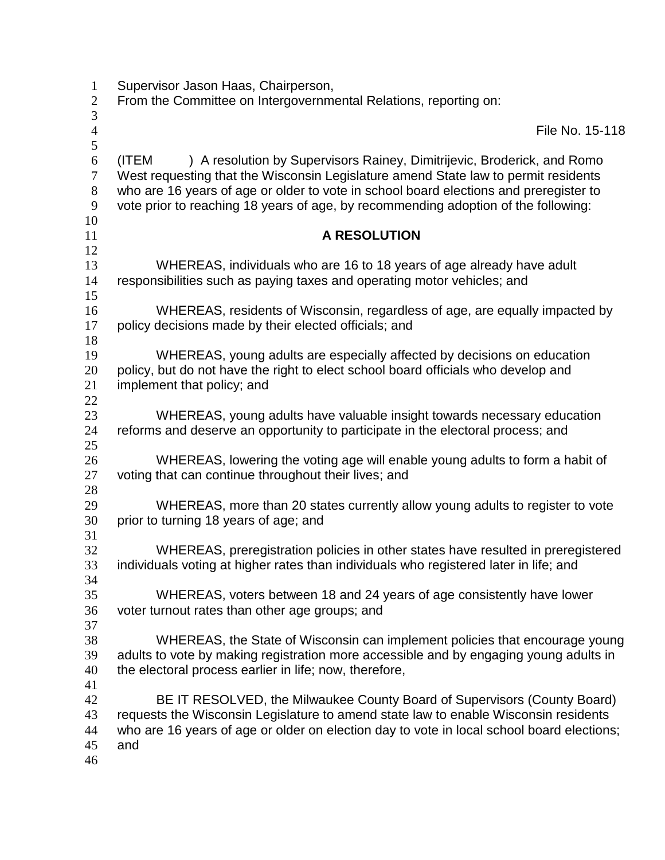| $\mathbf{1}$        | Supervisor Jason Haas, Chairperson,                                                                                                                                       |
|---------------------|---------------------------------------------------------------------------------------------------------------------------------------------------------------------------|
| $\overline{2}$      | From the Committee on Intergovernmental Relations, reporting on:                                                                                                          |
| 3                   |                                                                                                                                                                           |
| $\overline{4}$<br>5 | File No. 15-118                                                                                                                                                           |
| 6                   | ) A resolution by Supervisors Rainey, Dimitrijevic, Broderick, and Romo<br>(ITEM                                                                                          |
| $\overline{7}$      | West requesting that the Wisconsin Legislature amend State law to permit residents                                                                                        |
| $8\phantom{.}$      | who are 16 years of age or older to vote in school board elections and preregister to                                                                                     |
| 9                   | vote prior to reaching 18 years of age, by recommending adoption of the following:                                                                                        |
| 10                  |                                                                                                                                                                           |
| 11<br>12            | A RESOLUTION                                                                                                                                                              |
| 13                  | WHEREAS, individuals who are 16 to 18 years of age already have adult                                                                                                     |
| 14                  | responsibilities such as paying taxes and operating motor vehicles; and                                                                                                   |
| 15                  |                                                                                                                                                                           |
| 16                  | WHEREAS, residents of Wisconsin, regardless of age, are equally impacted by                                                                                               |
| 17                  | policy decisions made by their elected officials; and                                                                                                                     |
| 18                  |                                                                                                                                                                           |
| 19                  | WHEREAS, young adults are especially affected by decisions on education                                                                                                   |
| 20                  | policy, but do not have the right to elect school board officials who develop and                                                                                         |
| 21                  | implement that policy; and                                                                                                                                                |
| 22<br>23            | WHEREAS, young adults have valuable insight towards necessary education                                                                                                   |
| 24                  | reforms and deserve an opportunity to participate in the electoral process; and                                                                                           |
| 25                  |                                                                                                                                                                           |
| 26                  | WHEREAS, lowering the voting age will enable young adults to form a habit of                                                                                              |
| 27                  | voting that can continue throughout their lives; and                                                                                                                      |
| 28                  |                                                                                                                                                                           |
| 29                  | WHEREAS, more than 20 states currently allow young adults to register to vote                                                                                             |
| 30                  | prior to turning 18 years of age; and                                                                                                                                     |
| 31                  |                                                                                                                                                                           |
| 32<br>33            | WHEREAS, preregistration policies in other states have resulted in preregistered<br>individuals voting at higher rates than individuals who registered later in life; and |
| 34                  |                                                                                                                                                                           |
| 35                  | WHEREAS, voters between 18 and 24 years of age consistently have lower                                                                                                    |
| 36                  | voter turnout rates than other age groups; and                                                                                                                            |
| 37                  |                                                                                                                                                                           |
| 38                  | WHEREAS, the State of Wisconsin can implement policies that encourage young                                                                                               |
| 39                  | adults to vote by making registration more accessible and by engaging young adults in                                                                                     |
| 40                  | the electoral process earlier in life; now, therefore,                                                                                                                    |
| 41                  |                                                                                                                                                                           |
| 42<br>43            | BE IT RESOLVED, the Milwaukee County Board of Supervisors (County Board)<br>requests the Wisconsin Legislature to amend state law to enable Wisconsin residents           |
| 44                  | who are 16 years of age or older on election day to vote in local school board elections;                                                                                 |
| 45                  | and                                                                                                                                                                       |
| 46                  |                                                                                                                                                                           |
|                     |                                                                                                                                                                           |